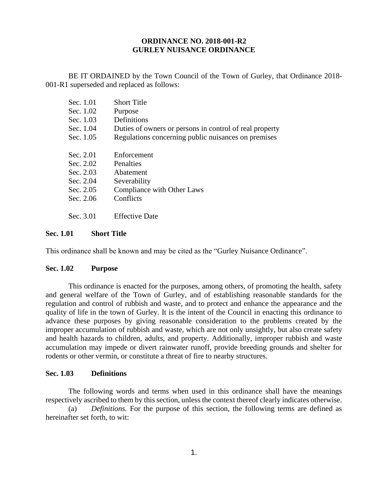#### **ORDINANCE NO. 2018-001-R2 GURLEY NUISANCE ORDINANCE**

BE IT ORDAINED by the Town Council of the Town of Gurley, that Ordinance 2018- 001-R1 superseded and replaced as follows:

| Sec. 1.01 | <b>Short Title</b>                                      |
|-----------|---------------------------------------------------------|
| Sec. 1.02 | Purpose                                                 |
| Sec. 1.03 | <b>Definitions</b>                                      |
| Sec. 1.04 | Duties of owners or persons in control of real property |
| Sec. 1.05 | Regulations concerning public nuisances on premises     |
| Sec. 2.01 | Enforcement                                             |
| Sec. 2.02 | Penalties                                               |
| Sec. 2.03 | Abatement                                               |
| Sec. 2.04 | Severability                                            |
| Sec. 2.05 | Compliance with Other Laws                              |
| Sec. 2.06 | Conflicts                                               |
| Sec. 3.01 | <b>Effective Date</b>                                   |

## **Sec. 1.01 Short Title**

This ordinance shall be known and may be cited as the "Gurley Nuisance Ordinance".

#### **Sec. 1.02 Purpose**

This ordinance is enacted for the purposes, among others, of promoting the health, safety and general welfare of the Town of Gurley, and of establishing reasonable standards for the regulation and control of rubbish and waste, and to protect and enhance the appearance and the quality of life in the town of Gurley. It is the intent of the Council in enacting this ordinance to advance these purposes by giving reasonable consideration to the problems created by the improper accumulation of rubbish and waste, which are not only unsightly, but also create safety and health hazards to children, adults, and property. Additionally, improper rubbish and waste accumulation may impede or divert rainwater runoff, provide breeding grounds and shelter for rodents or other vermin, or constitute a threat of fire to nearby structures.

#### **Sec. 1.03 Definitions**

The following words and terms when used in this ordinance shall have the meanings respectively ascribed to them by this section, unless the context thereof clearly indicates otherwise.

(a) *Definitions.* For the purpose of this section, the following terms are defined as hereinafter set forth, to wit: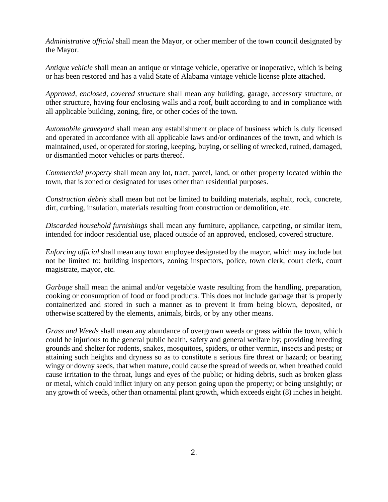*Administrative official* shall mean the Mayor, or other member of the town council designated by the Mayor.

*Antique vehicle* shall mean an antique or vintage vehicle, operative or inoperative, which is being or has been restored and has a valid State of Alabama vintage vehicle license plate attached.

*Approved, enclosed, covered structure* shall mean any building, garage, accessory structure, or other structure, having four enclosing walls and a roof, built according to and in compliance with all applicable building, zoning, fire, or other codes of the town.

*Automobile graveyard* shall mean any establishment or place of business which is duly licensed and operated in accordance with all applicable laws and/or ordinances of the town, and which is maintained, used, or operated for storing, keeping, buying, or selling of wrecked, ruined, damaged, or dismantled motor vehicles or parts thereof.

*Commercial property* shall mean any lot, tract, parcel, land, or other property located within the town, that is zoned or designated for uses other than residential purposes.

*Construction debris* shall mean but not be limited to building materials, asphalt, rock, concrete, dirt, curbing, insulation, materials resulting from construction or demolition, etc.

*Discarded household furnishings* shall mean any furniture, appliance, carpeting, or similar item, intended for indoor residential use, placed outside of an approved, enclosed, covered structure.

*Enforcing official* shall mean any town employee designated by the mayor, which may include but not be limited to: building inspectors, zoning inspectors, police, town clerk, court clerk, court magistrate, mayor, etc.

*Garbage* shall mean the animal and/or vegetable waste resulting from the handling, preparation, cooking or consumption of food or food products. This does not include garbage that is properly containerized and stored in such a manner as to prevent it from being blown, deposited, or otherwise scattered by the elements, animals, birds, or by any other means.

*Grass and Weeds* shall mean any abundance of overgrown weeds or grass within the town, which could be injurious to the general public health, safety and general welfare by; providing breeding grounds and shelter for rodents, snakes, mosquitoes, spiders, or other vermin, insects and pests; or attaining such heights and dryness so as to constitute a serious fire threat or hazard; or bearing wingy or downy seeds, that when mature, could cause the spread of weeds or, when breathed could cause irritation to the throat, lungs and eyes of the public; or hiding debris, such as broken glass or metal, which could inflict injury on any person going upon the property; or being unsightly; or any growth of weeds, other than ornamental plant growth, which exceeds eight (8) inches in height.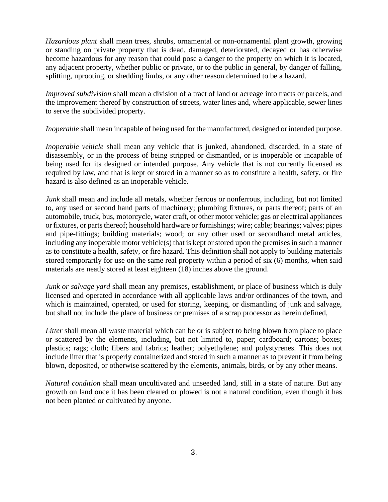*Hazardous plant* shall mean trees, shrubs, ornamental or non-ornamental plant growth, growing or standing on private property that is dead, damaged, deteriorated, decayed or has otherwise become hazardous for any reason that could pose a danger to the property on which it is located, any adjacent property, whether public or private, or to the public in general, by danger of falling, splitting, uprooting, or shedding limbs, or any other reason determined to be a hazard.

*Improved subdivision* shall mean a division of a tract of land or acreage into tracts or parcels, and the improvement thereof by construction of streets, water lines and, where applicable, sewer lines to serve the subdivided property.

*Inoperable* shall mean incapable of being used for the manufactured, designed or intended purpose.

*Inoperable vehicle* shall mean any vehicle that is junked, abandoned, discarded, in a state of disassembly, or in the process of being stripped or dismantled, or is inoperable or incapable of being used for its designed or intended purpose. Any vehicle that is not currently licensed as required by law, and that is kept or stored in a manner so as to constitute a health, safety, or fire hazard is also defined as an inoperable vehicle.

*Junk* shall mean and include all metals, whether ferrous or nonferrous, including, but not limited to, any used or second hand parts of machinery; plumbing fixtures, or parts thereof; parts of an automobile, truck, bus, motorcycle, water craft, or other motor vehicle; gas or electrical appliances or fixtures, or parts thereof; household hardware or furnishings; wire; cable; bearings; valves; pipes and pipe-fittings; building materials; wood; or any other used or secondhand metal articles, including any inoperable motor vehicle(s) that is kept or stored upon the premises in such a manner as to constitute a health, safety, or fire hazard. This definition shall not apply to building materials stored temporarily for use on the same real property within a period of six (6) months, when said materials are neatly stored at least eighteen (18) inches above the ground.

*Junk or salvage yard* shall mean any premises, establishment, or place of business which is duly licensed and operated in accordance with all applicable laws and/or ordinances of the town, and which is maintained, operated, or used for storing, keeping, or dismantling of junk and salvage, but shall not include the place of business or premises of a scrap processor as herein defined,

*Litter* shall mean all waste material which can be or is subject to being blown from place to place or scattered by the elements, including, but not limited to, paper; cardboard; cartons; boxes; plastics; rags; cloth; fibers and fabrics; leather; polyethylene; and polystyrenes. This does not include litter that is properly containerized and stored in such a manner as to prevent it from being blown, deposited, or otherwise scattered by the elements, animals, birds, or by any other means.

*Natural condition* shall mean uncultivated and unseeded land, still in a state of nature. But any growth on land once it has been cleared or plowed is not a natural condition, even though it has not been planted or cultivated by anyone.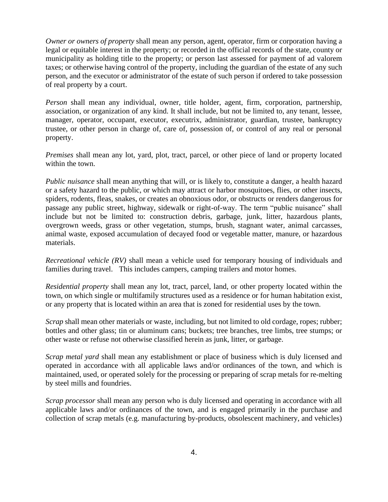*Owner or owners of property* shall mean any person, agent, operator, firm or corporation having a legal or equitable interest in the property; or recorded in the official records of the state, county or municipality as holding title to the property; or person last assessed for payment of ad valorem taxes; or otherwise having control of the property, including the guardian of the estate of any such person, and the executor or administrator of the estate of such person if ordered to take possession of real property by a court.

*Person* shall mean any individual, owner, title holder, agent, firm, corporation, partnership, association, or organization of any kind. It shall include, but not be limited to, any tenant, lessee, manager, operator, occupant, executor, executrix, administrator, guardian, trustee, bankruptcy trustee, or other person in charge of, care of, possession of, or control of any real or personal property.

*Premises* shall mean any lot, yard, plot, tract, parcel, or other piece of land or property located within the town.

*Public nuisance* shall mean anything that will, or is likely to, constitute a danger, a health hazard or a safety hazard to the public, or which may attract or harbor mosquitoes, flies, or other insects, spiders, rodents, fleas, snakes, or creates an obnoxious odor, or obstructs or renders dangerous for passage any public street, highway, sidewalk or right-of-way. The term "public nuisance" shall include but not be limited to: construction debris, garbage, junk, litter, hazardous plants, overgrown weeds, grass or other vegetation, stumps, brush, stagnant water, animal carcasses, animal waste, exposed accumulation of decayed food or vegetable matter, manure, or hazardous materials.

*Recreational vehicle (RV)* shall mean a vehicle used for temporary housing of individuals and families during travel. This includes campers, camping trailers and motor homes.

*Residential property* shall mean any lot, tract, parcel, land, or other property located within the town, on which single or multifamily structures used as a residence or for human habitation exist, or any property that is located within an area that is zoned for residential uses by the town.

*Scrap* shall mean other materials or waste, including, but not limited to old cordage, ropes; rubber; bottles and other glass; tin or aluminum cans; buckets; tree branches, tree limbs, tree stumps; or other waste or refuse not otherwise classified herein as junk, litter, or garbage.

*Scrap metal yard* shall mean any establishment or place of business which is duly licensed and operated in accordance with all applicable laws and/or ordinances of the town, and which is maintained, used, or operated solely for the processing or preparing of scrap metals for re-melting by steel mills and foundries.

*Scrap processor* shall mean any person who is duly licensed and operating in accordance with all applicable laws and/or ordinances of the town, and is engaged primarily in the purchase and collection of scrap metals (e.g. manufacturing by-products, obsolescent machinery, and vehicles)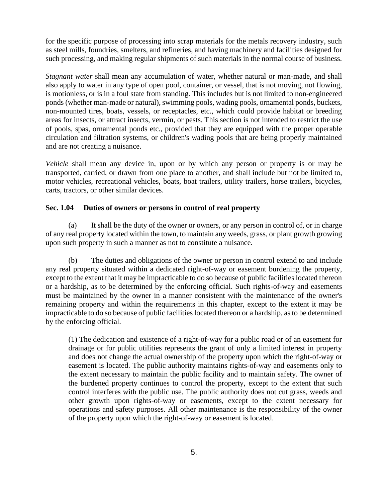for the specific purpose of processing into scrap materials for the metals recovery industry, such as steel mills, foundries, smelters, and refineries, and having machinery and facilities designed for such processing, and making regular shipments of such materials in the normal course of business.

*Stagnant water* shall mean any accumulation of water, whether natural or man-made, and shall also apply to water in any type of open pool, container, or vessel, that is not moving, not flowing, is motionless, or is in a foul state from standing. This includes but is not limited to non-engineered ponds (whether man-made or natural), swimming pools, wading pools, ornamental ponds, buckets, non-mounted tires, boats, vessels, or receptacles, etc., which could provide habitat or breeding areas for insects, or attract insects, vermin, or pests. This section is not intended to restrict the use of pools, spas, ornamental ponds etc., provided that they are equipped with the proper operable circulation and filtration systems, or children's wading pools that are being properly maintained and are not creating a nuisance.

*Vehicle* shall mean any device in, upon or by which any person or property is or may be transported, carried, or drawn from one place to another, and shall include but not be limited to, motor vehicles, recreational vehicles, boats, boat trailers, utility trailers, horse trailers, bicycles, carts, tractors, or other similar devices.

## **Sec. 1.04 Duties of owners or persons in control of real property**

(a) It shall be the duty of the owner or owners, or any person in control of, or in charge of any real property located within the town, to maintain any weeds, grass, or plant growth growing upon such property in such a manner as not to constitute a nuisance.

(b) The duties and obligations of the owner or person in control extend to and include any real property situated within a dedicated right-of-way or easement burdening the property, except to the extent that it may be impracticable to do so because of public facilities located thereon or a hardship, as to be determined by the enforcing official. Such rights-of-way and easements must be maintained by the owner in a manner consistent with the maintenance of the owner's remaining property and within the requirements in this chapter, except to the extent it may be impracticable to do so because of public facilities located thereon or a hardship, as to be determined by the enforcing official.

(1) The dedication and existence of a right-of-way for a public road or of an easement for drainage or for public utilities represents the grant of only a limited interest in property and does not change the actual ownership of the property upon which the right-of-way or easement is located. The public authority maintains rights-of-way and easements only to the extent necessary to maintain the public facility and to maintain safety. The owner of the burdened property continues to control the property, except to the extent that such control interferes with the public use. The public authority does not cut grass, weeds and other growth upon rights-of-way or easements, except to the extent necessary for operations and safety purposes. All other maintenance is the responsibility of the owner of the property upon which the right-of-way or easement is located.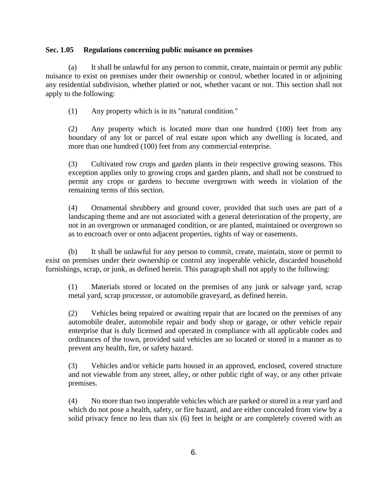### **Sec. 1.05 Regulations concerning public nuisance on premises**

(a) It shall be unlawful for any person to commit, create, maintain or permit any public nuisance to exist on premises under their ownership or control, whether located in or adjoining any residential subdivision, whether platted or not, whether vacant or not. This section shall not apply to the following:

(1) Any property which is in its "natural condition."

(2) Any property which is located more than one hundred (100) feet from any boundary of any lot or parcel of real estate upon which any dwelling is located, and more than one hundred (100) feet from any commercial enterprise.

(3) Cultivated row crops and garden plants in their respective growing seasons. This exception applies only to growing crops and garden plants, and shall not be construed to permit any crops or gardens to become overgrown with weeds in violation of the remaining terms of this section.

(4) Ornamental shrubbery and ground cover, provided that such uses are part of a landscaping theme and are not associated with a general deterioration of the property, are not in an overgrown or unmanaged condition, or are planted, maintained or overgrown so as to encroach over or onto adjacent properties, rights of way or easements.

(b) It shall be unlawful for any person to commit, create, maintain, store or permit to exist on premises under their ownership or control any inoperable vehicle, discarded household furnishings, scrap, or junk, as defined herein. This paragraph shall not apply to the following:

(1) Materials stored or located on the premises of any junk or salvage yard, scrap metal yard, scrap processor, or automobile graveyard, as defined herein.

(2) Vehicles being repaired or awaiting repair that are located on the premises of any automobile dealer, automobile repair and body shop or garage, or other vehicle repair enterprise that is duly licensed and operated in compliance with all applicable codes and ordinances of the town, provided said vehicles are so located or stored in a manner as to prevent any health, fire, or safety hazard.

(3) Vehicles and/or vehicle parts housed in an approved, enclosed, covered structure and not viewable from any street, alley, or other public right of way, or any other private premises.

(4) No more than two inoperable vehicles which are parked or stored in a rear yard and which do not pose a health, safety, or fire hazard, and are either concealed from view by a solid privacy fence no less than six (6) feet in height or are completely covered with an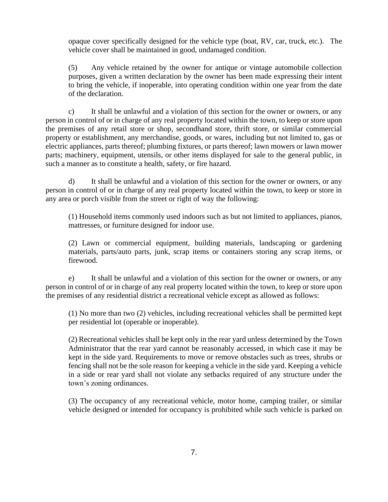opaque cover specifically designed for the vehicle type (boat, RV, car, truck, etc.). The vehicle cover shall be maintained in good, undamaged condition.

(5) Any vehicle retained by the owner for antique or vintage automobile collection purposes, given a written declaration by the owner has been made expressing their intent to bring the vehicle, if inoperable, into operating condition within one year from the date of the declaration.

c) It shall be unlawful and a violation of this section for the owner or owners, or any person in control of or in charge of any real property located within the town, to keep or store upon the premises of any retail store or shop, secondhand store, thrift store, or similar commercial property or establishment, any merchandise, goods, or wares, including but not limited to, gas or electric appliances, parts thereof; plumbing fixtures, or parts thereof; lawn mowers or lawn mower parts; machinery, equipment, utensils, or other items displayed for sale to the general public, in such a manner as to constitute a health, safety, or fire hazard.

d) It shall be unlawful and a violation of this section for the owner or owners, or any person in control of or in charge of any real property located within the town, to keep or store in any area or porch visible from the street or right of way the following:

(1) Household items commonly used indoors such as but not limited to appliances, pianos, mattresses, or furniture designed for indoor use.

(2) Lawn or commercial equipment, building materials, landscaping or gardening materials, parts/auto parts, junk, scrap items or containers storing any scrap items, or firewood.

e) It shall be unlawful and a violation of this section for the owner or owners, or any person in control of or in charge of any real property located within the town, to keep or store upon the premises of any residential district a recreational vehicle except as allowed as follows:

(1) No more than two (2) vehicles, including recreational vehicles shall be permitted kept per residential lot (operable or inoperable).

(2) Recreational vehicles shall be kept only in the rear yard unless determined by the Town Administrator that the rear yard cannot be reasonably accessed, in which case it may be kept in the side yard. Requirements to move or remove obstacles such as trees, shrubs or fencing shall not be the sole reason for keeping a vehicle in the side yard. Keeping a vehicle in a side or rear yard shall not violate any setbacks required of any structure under the town's zoning ordinances.

(3) The occupancy of any recreational vehicle, motor home, camping trailer, or similar vehicle designed or intended for occupancy is prohibited while such vehicle is parked on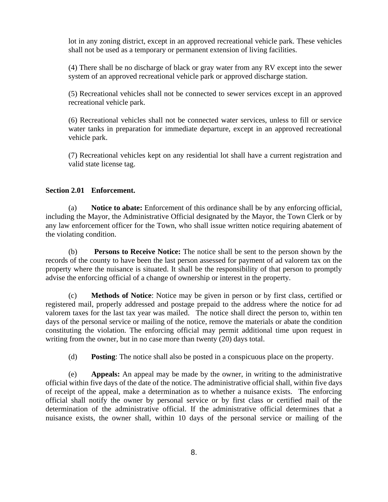lot in any zoning district, except in an approved recreational vehicle park. These vehicles shall not be used as a temporary or permanent extension of living facilities.

(4) There shall be no discharge of black or gray water from any RV except into the sewer system of an approved recreational vehicle park or approved discharge station.

(5) Recreational vehicles shall not be connected to sewer services except in an approved recreational vehicle park.

(6) Recreational vehicles shall not be connected water services, unless to fill or service water tanks in preparation for immediate departure, except in an approved recreational vehicle park.

(7) Recreational vehicles kept on any residential lot shall have a current registration and valid state license tag.

#### **Section 2.01 Enforcement.**

(a) **Notice to abate:** Enforcement of this ordinance shall be by any enforcing official, including the Mayor, the Administrative Official designated by the Mayor, the Town Clerk or by any law enforcement officer for the Town, who shall issue written notice requiring abatement of the violating condition.

(b) **Persons to Receive Notice:** The notice shall be sent to the person shown by the records of the county to have been the last person assessed for payment of ad valorem tax on the property where the nuisance is situated. It shall be the responsibility of that person to promptly advise the enforcing official of a change of ownership or interest in the property.

(c) **Methods of Notice**: Notice may be given in person or by first class, certified or registered mail, properly addressed and postage prepaid to the address where the notice for ad valorem taxes for the last tax year was mailed. The notice shall direct the person to, within ten days of the personal service or mailing of the notice, remove the materials or abate the condition constituting the violation. The enforcing official may permit additional time upon request in writing from the owner, but in no case more than twenty (20) days total.

(d) **Posting**: The notice shall also be posted in a conspicuous place on the property.

(e) **Appeals:** An appeal may be made by the owner, in writing to the administrative official within five days of the date of the notice. The administrative official shall, within five days of receipt of the appeal, make a determination as to whether a nuisance exists. The enforcing official shall notify the owner by personal service or by first class or certified mail of the determination of the administrative official. If the administrative official determines that a nuisance exists, the owner shall, within 10 days of the personal service or mailing of the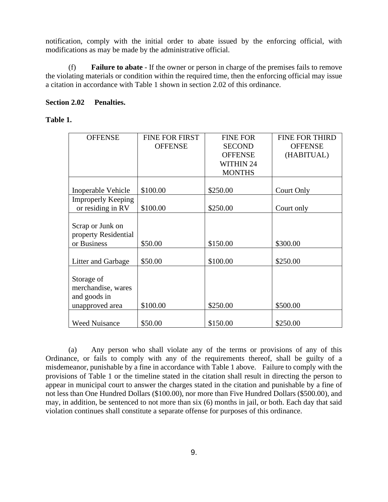notification, comply with the initial order to abate issued by the enforcing official, with modifications as may be made by the administrative official.

(f) **Failure to abate** - If the owner or person in charge of the premises fails to remove the violating materials or condition within the required time, then the enforcing official may issue a citation in accordance with Table 1 shown in section 2.02 of this ordinance.

### **Section 2.02 Penalties.**

## **Table 1.**

| <b>OFFENSE</b>            | <b>FINE FOR FIRST</b> | <b>FINE FOR</b>  | <b>FINE FOR THIRD</b> |
|---------------------------|-----------------------|------------------|-----------------------|
|                           | <b>OFFENSE</b>        | <b>SECOND</b>    | <b>OFFENSE</b>        |
|                           |                       |                  |                       |
|                           |                       | <b>OFFENSE</b>   | (HABITUAL)            |
|                           |                       | <b>WITHIN 24</b> |                       |
|                           |                       | <b>MONTHS</b>    |                       |
|                           |                       |                  |                       |
| Inoperable Vehicle        | \$100.00              | \$250.00         | Court Only            |
| <b>Improperly Keeping</b> |                       |                  |                       |
| or residing in RV         | \$100.00              | \$250.00         | Court only            |
|                           |                       |                  |                       |
| Scrap or Junk on          |                       |                  |                       |
| property Residential      |                       |                  |                       |
| or Business               | \$50.00               | \$150.00         | \$300.00              |
|                           |                       |                  |                       |
| Litter and Garbage        | \$50.00               | \$100.00         | \$250.00              |
|                           |                       |                  |                       |
| Storage of                |                       |                  |                       |
| merchandise, wares        |                       |                  |                       |
| and goods in              |                       |                  |                       |
| unapproved area           | \$100.00              | \$250.00         | \$500.00              |
|                           |                       |                  |                       |
| <b>Weed Nuisance</b>      | \$50.00               | \$150.00         | \$250.00              |

(a) Any person who shall violate any of the terms or provisions of any of this Ordinance, or fails to comply with any of the requirements thereof, shall be guilty of a misdemeanor, punishable by a fine in accordance with Table 1 above. Failure to comply with the provisions of Table 1 or the timeline stated in the citation shall result in directing the person to appear in municipal court to answer the charges stated in the citation and punishable by a fine of not less than One Hundred Dollars (\$100.00), nor more than Five Hundred Dollars (\$500.00), and may, in addition, be sentenced to not more than six (6) months in jail, or both. Each day that said violation continues shall constitute a separate offense for purposes of this ordinance.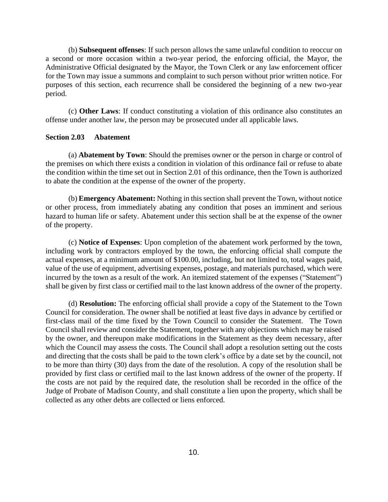(b) **Subsequent offenses**: If such person allows the same unlawful condition to reoccur on a second or more occasion within a two-year period, the enforcing official, the Mayor, the Administrative Official designated by the Mayor, the Town Clerk or any law enforcement officer for the Town may issue a summons and complaint to such person without prior written notice. For purposes of this section, each recurrence shall be considered the beginning of a new two-year period.

(c) **Other Laws**: If conduct constituting a violation of this ordinance also constitutes an offense under another law, the person may be prosecuted under all applicable laws.

#### **Section 2.03 Abatement**

(a) **Abatement by Town**: Should the premises owner or the person in charge or control of the premises on which there exists a condition in violation of this ordinance fail or refuse to abate the condition within the time set out in Section 2.01 of this ordinance, then the Town is authorized to abate the condition at the expense of the owner of the property.

(b) **Emergency Abatement:** Nothing in this section shall prevent the Town, without notice or other process, from immediately abating any condition that poses an imminent and serious hazard to human life or safety. Abatement under this section shall be at the expense of the owner of the property.

(c) **Notice of Expenses**: Upon completion of the abatement work performed by the town, including work by contractors employed by the town, the enforcing official shall compute the actual expenses, at a minimum amount of \$100.00, including, but not limited to, total wages paid, value of the use of equipment, advertising expenses, postage, and materials purchased, which were incurred by the town as a result of the work. An itemized statement of the expenses ("Statement") shall be given by first class or certified mail to the last known address of the owner of the property.

(d) **Resolution:** The enforcing official shall provide a copy of the Statement to the Town Council for consideration. The owner shall be notified at least five days in advance by certified or first-class mail of the time fixed by the Town Council to consider the Statement. The Town Council shall review and consider the Statement, together with any objections which may be raised by the owner, and thereupon make modifications in the Statement as they deem necessary, after which the Council may assess the costs. The Council shall adopt a resolution setting out the costs and directing that the costs shall be paid to the town clerk's office by a date set by the council, not to be more than thirty (30) days from the date of the resolution. A copy of the resolution shall be provided by first class or certified mail to the last known address of the owner of the property. If the costs are not paid by the required date, the resolution shall be recorded in the office of the Judge of Probate of Madison County, and shall constitute a lien upon the property, which shall be collected as any other debts are collected or liens enforced.